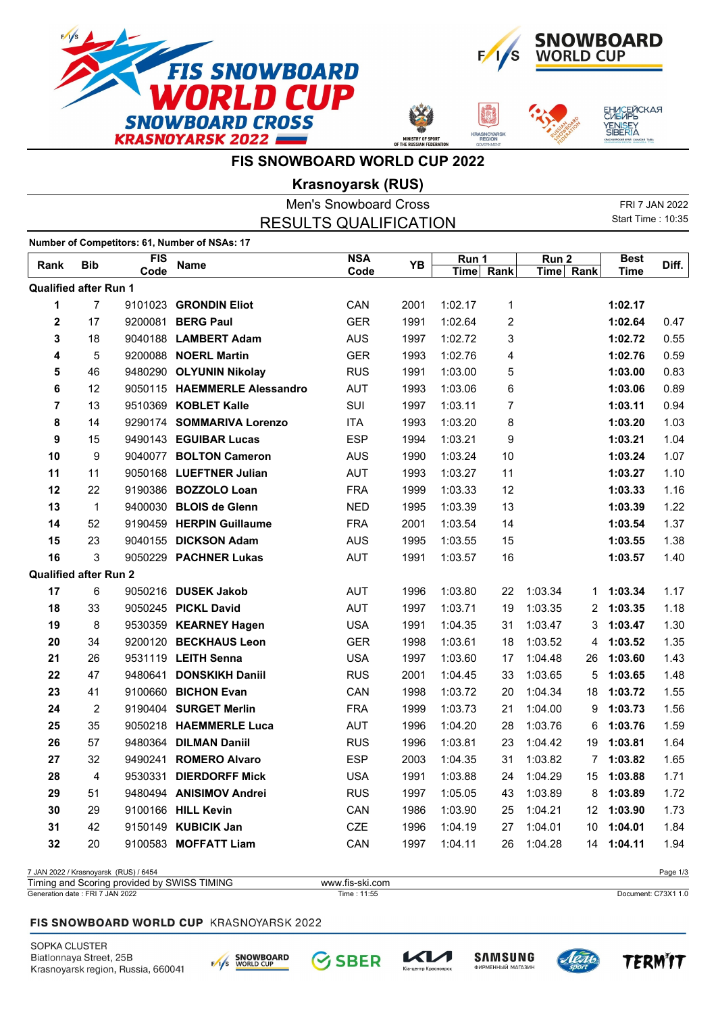







## **FIS SNOWBOARD WORLD CUP 2022**

**Krasnoyarsk (RUS)**

|                                 |                |                                       |                                               | <b>Men's Snowboard Cross</b>   |      |           |                         |           |    |                          | FRI 7 JAN 2022      |
|---------------------------------|----------------|---------------------------------------|-----------------------------------------------|--------------------------------|------|-----------|-------------------------|-----------|----|--------------------------|---------------------|
|                                 |                |                                       |                                               | <b>RESULTS QUALIFICATION</b>   |      |           |                         |           |    | <b>Start Time: 10:35</b> |                     |
|                                 |                |                                       | Number of Competitors: 61, Number of NSAs: 17 |                                |      |           |                         |           |    |                          |                     |
| Rank                            | <b>Bib</b>     | <b>FIS</b>                            | <b>Name</b>                                   | <b>NSA</b>                     | YB   | Run 1     |                         | Run 2     |    | <b>Best</b>              | Diff.               |
|                                 |                | Code                                  |                                               | Code                           |      | Time Rank |                         | Time Rank |    | <b>Time</b>              |                     |
| <b>Qualified after Run 1</b>    |                |                                       |                                               |                                |      |           |                         |           |    |                          |                     |
| 1                               | $\overline{7}$ | 9101023                               | <b>GRONDIN Eliot</b>                          | CAN                            | 2001 | 1:02.17   | 1                       |           |    | 1:02.17                  |                     |
| 2                               | 17             | 9200081                               | <b>BERG Paul</b>                              | <b>GER</b>                     | 1991 | 1:02.64   | $\overline{\mathbf{c}}$ |           |    | 1:02.64                  | 0.47                |
| 3                               | 18             |                                       | 9040188 LAMBERT Adam                          | <b>AUS</b>                     | 1997 | 1:02.72   | 3                       |           |    | 1:02.72                  | 0.55                |
| 4                               | 5              |                                       | 9200088 NOERL Martin                          | <b>GER</b>                     | 1993 | 1:02.76   | 4                       |           |    | 1:02.76                  | 0.59                |
| 5                               | 46             |                                       | 9480290 OLYUNIN Nikolay                       | <b>RUS</b>                     | 1991 | 1:03.00   | 5                       |           |    | 1:03.00                  | 0.83                |
| 6                               | 12             |                                       | 9050115 HAEMMERLE Alessandro                  | AUT                            | 1993 | 1:03.06   | 6                       |           |    | 1:03.06                  | 0.89                |
| $\overline{7}$                  | 13             |                                       | 9510369 KOBLET Kalle                          | SUI                            | 1997 | 1:03.11   | 7                       |           |    | 1:03.11                  | 0.94                |
| 8                               | 14             |                                       | 9290174 SOMMARIVA Lorenzo                     | <b>ITA</b>                     | 1993 | 1:03.20   | 8                       |           |    | 1:03.20                  | 1.03                |
| 9                               | 15             |                                       | 9490143 EGUIBAR Lucas                         | <b>ESP</b>                     | 1994 | 1:03.21   | 9                       |           |    | 1:03.21                  | 1.04                |
| 10                              | 9              |                                       | 9040077 BOLTON Cameron                        | <b>AUS</b>                     | 1990 | 1:03.24   | 10                      |           |    | 1:03.24                  | 1.07                |
| 11                              | 11             |                                       | 9050168 LUEFTNER Julian                       | <b>AUT</b>                     | 1993 | 1:03.27   | 11                      |           |    | 1:03.27                  | 1.10                |
| 12                              | 22             |                                       | 9190386 BOZZOLO Loan                          | <b>FRA</b>                     | 1999 | 1:03.33   | 12                      |           |    | 1:03.33                  | 1.16                |
| 13                              | $\mathbf{1}$   |                                       | 9400030 BLOIS de Glenn                        | <b>NED</b>                     | 1995 | 1:03.39   | 13                      |           |    | 1:03.39                  | 1.22                |
| 14                              | 52             |                                       | 9190459 HERPIN Guillaume                      | <b>FRA</b>                     | 2001 | 1:03.54   | 14                      |           |    | 1:03.54                  | 1.37                |
| 15                              | 23             |                                       | 9040155 DICKSON Adam                          | <b>AUS</b>                     | 1995 | 1:03.55   | 15                      |           |    | 1:03.55                  | 1.38                |
| 16                              | 3              |                                       | 9050229 PACHNER Lukas                         | <b>AUT</b>                     | 1991 | 1:03.57   | 16                      |           |    | 1:03.57                  | 1.40                |
| <b>Qualified after Run 2</b>    |                |                                       |                                               |                                |      |           |                         |           |    |                          |                     |
| 17                              | 6              |                                       | 9050216 DUSEK Jakob                           | AUT                            | 1996 | 1:03.80   | 22                      | 1:03.34   | 1. | 1:03.34                  | 1.17                |
| 18                              | 33             |                                       | 9050245 PICKL David                           | <b>AUT</b>                     | 1997 | 1:03.71   | 19                      | 1:03.35   | 2  | 1:03.35                  | 1.18                |
| 19                              | 8              |                                       | 9530359 KEARNEY Hagen                         | <b>USA</b>                     | 1991 | 1:04.35   | 31                      | 1:03.47   | 3  | 1:03.47                  | 1.30                |
| 20                              | 34             |                                       | 9200120 BECKHAUS Leon                         | <b>GER</b>                     | 1998 | 1:03.61   | 18                      | 1:03.52   | 4  | 1:03.52                  | 1.35                |
| 21                              | 26             |                                       | 9531119 LEITH Senna                           | <b>USA</b>                     | 1997 | 1:03.60   | 17                      | 1:04.48   | 26 | 1:03.60                  | 1.43                |
| 22                              | 47             | 9480641                               | <b>DONSKIKH Daniil</b>                        | <b>RUS</b>                     | 2001 | 1:04.45   | 33                      | 1:03.65   | 5  | 1:03.65                  | 1.48                |
| 23                              | 41             | 9100660                               | <b>BICHON Evan</b>                            | CAN                            | 1998 | 1:03.72   | 20                      | 1:04.34   | 18 | 1:03.72                  | 1.55                |
| 24                              | $\overline{c}$ |                                       | 9190404 SURGET Merlin                         | <b>FRA</b>                     | 1999 | 1:03.73   | 21                      | 1:04.00   | 9  | 1:03.73                  | 1.56                |
| 25                              | 35             |                                       | 9050218 HAEMMERLE Luca                        | <b>AUT</b>                     | 1996 | 1:04.20   | 28                      | 1:03.76   | 6  | 1:03.76                  | 1.59                |
| 26                              | 57             |                                       | 9480364 DILMAN Daniil                         | <b>RUS</b>                     | 1996 | 1:03.81   | 23                      | 1:04.42   |    | 19 1:03.81               | 1.64                |
| 27                              | 32             |                                       | 9490241 ROMERO Alvaro                         | <b>ESP</b>                     | 2003 | 1:04.35   | 31                      | 1:03.82   | 7  | 1:03.82                  | 1.65                |
| 28                              | 4              |                                       | 9530331 DIERDORFF Mick                        | <b>USA</b>                     | 1991 | 1:03.88   | 24                      | 1:04.29   | 15 | 1:03.88                  | 1.71                |
| 29                              | 51             |                                       | 9480494 ANISIMOV Andrei                       | <b>RUS</b>                     | 1997 | 1:05.05   | 43                      | 1:03.89   | 8  | 1:03.89                  | 1.72                |
| 30                              | 29             |                                       | 9100166 HILL Kevin                            | CAN                            | 1986 | 1:03.90   | 25                      | 1:04.21   |    | 12 1:03.90               | 1.73                |
| 31                              | 42             |                                       | 9150149 KUBICIK Jan                           | CZE                            | 1996 | 1:04.19   | 27                      | 1:04.01   | 10 | 1:04.01                  | 1.84                |
| 32                              | 20             |                                       | 9100583 MOFFATT Liam                          | CAN                            | 1997 | 1:04.11   | 26                      | 1:04.28   |    | 14 1:04.11               | 1.94                |
|                                 |                |                                       |                                               |                                |      |           |                         |           |    |                          |                     |
|                                 |                | 7 JAN 2022 / Krasnoyarsk (RUS) / 6454 |                                               |                                |      |           |                         |           |    |                          | Page 1/3            |
| Generation date: FRI 7 JAN 2022 |                |                                       | Timing and Scoring provided by SWISS TIMING   | www.fis-ski.com<br>Time: 11:55 |      |           |                         |           |    |                          | Document: C73X1 1.0 |

#### FIS SNOWBOARD WORLD CUP KRASNOYARSK 2022

SOPKA CLUSTER Biatlonnaya Street, 25B Krasnoyarsk region, Russia, 660041







KИ

тр Красн



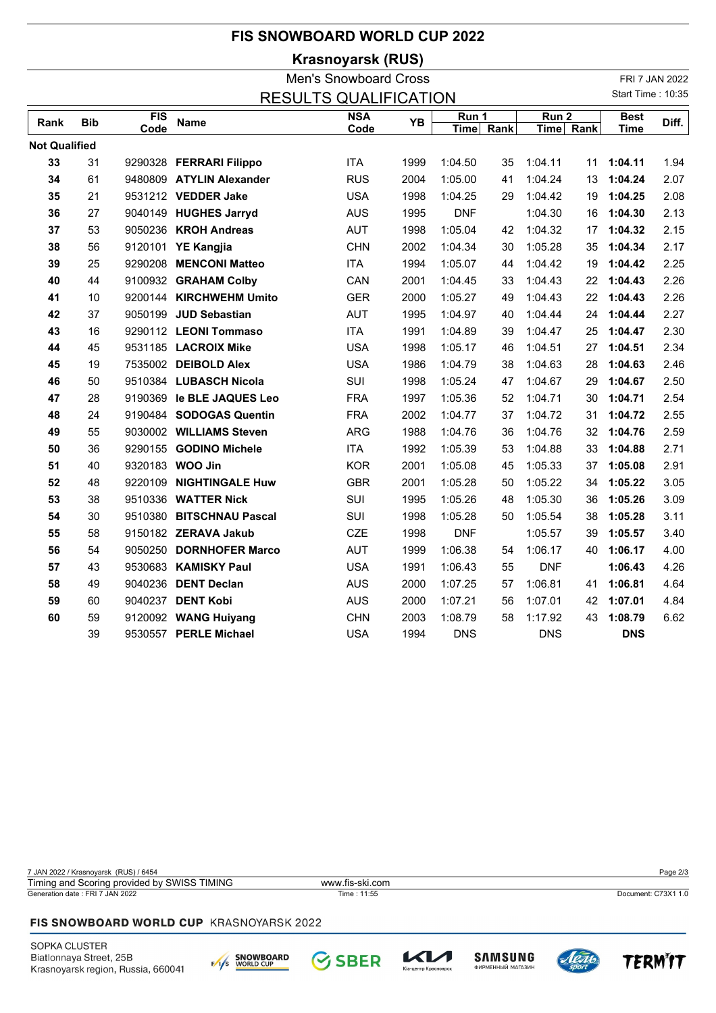# **FIS SNOWBOARD WORLD CUP 2022**

**Krasnoyarsk (RUS)**

|                      |            |      |                           | <b>Men's Snowboard Cross</b> |      |             |      |                  |           |                   | FRI 7 JAN 2022 |
|----------------------|------------|------|---------------------------|------------------------------|------|-------------|------|------------------|-----------|-------------------|----------------|
|                      |            |      |                           | <b>RESULTS QUALIFICATION</b> |      |             |      |                  |           | Start Time: 10:35 |                |
|                      | <b>Bib</b> | FIS  |                           | <b>NSA</b>                   | YB   | Run 1       |      | Run <sub>2</sub> |           | <b>Best</b>       | Diff.          |
| Rank                 |            | Code | <b>Name</b>               | Code                         |      | <b>Time</b> | Rank |                  | Time Rank | <b>Time</b>       |                |
| <b>Not Qualified</b> |            |      |                           |                              |      |             |      |                  |           |                   |                |
| 33                   | 31         |      | 9290328 FERRARI Filippo   | <b>ITA</b>                   | 1999 | 1:04.50     | 35   | 1:04.11          | 11        | 1:04.11           | 1.94           |
| 34                   | 61         |      | 9480809 ATYLIN Alexander  | <b>RUS</b>                   | 2004 | 1:05.00     | 41   | 1:04.24          | 13        | 1:04.24           | 2.07           |
| 35                   | 21         |      | 9531212 VEDDER Jake       | <b>USA</b>                   | 1998 | 1:04.25     | 29   | 1:04.42          | 19        | 1:04.25           | 2.08           |
| 36                   | 27         |      | 9040149 HUGHES Jarryd     | <b>AUS</b>                   | 1995 | <b>DNF</b>  |      | 1:04.30          | 16        | 1:04.30           | 2.13           |
| 37                   | 53         |      | 9050236 KROH Andreas      | <b>AUT</b>                   | 1998 | 1:05.04     | 42   | 1:04.32          | 17        | 1:04.32           | 2.15           |
| 38                   | 56         |      | 9120101 YE Kangjia        | <b>CHN</b>                   | 2002 | 1:04.34     | 30   | 1:05.28          | 35        | 1:04.34           | 2.17           |
| 39                   | 25         |      | 9290208 MENCONI Matteo    | <b>ITA</b>                   | 1994 | 1:05.07     | 44   | 1:04.42          | 19        | 1:04.42           | 2.25           |
| 40                   | 44         |      | 9100932 GRAHAM Colby      | CAN                          | 2001 | 1:04.45     | 33   | 1:04.43          | 22        | 1:04.43           | 2.26           |
| 41                   | 10         |      | 9200144 KIRCHWEHM Umito   | <b>GER</b>                   | 2000 | 1:05.27     | 49   | 1:04.43          | 22        | 1:04.43           | 2.26           |
| 42                   | 37         |      | 9050199 JUD Sebastian     | <b>AUT</b>                   | 1995 | 1:04.97     | 40   | 1:04.44          | 24        | 1:04.44           | 2.27           |
| 43                   | 16         |      | 9290112 LEONI Tommaso     | <b>ITA</b>                   | 1991 | 1:04.89     | 39   | 1:04.47          | 25        | 1:04.47           | 2.30           |
| 44                   | 45         |      | 9531185 LACROIX Mike      | <b>USA</b>                   | 1998 | 1:05.17     | 46   | 1:04.51          | 27        | 1:04.51           | 2.34           |
| 45                   | 19         |      | 7535002 DEIBOLD Alex      | <b>USA</b>                   | 1986 | 1:04.79     | 38   | 1:04.63          | 28        | 1:04.63           | 2.46           |
| 46                   | 50         |      | 9510384 LUBASCH Nicola    | SUI                          | 1998 | 1:05.24     | 47   | 1:04.67          | 29        | 1:04.67           | 2.50           |
| 47                   | 28         |      | 9190369 le BLE JAQUES Leo | <b>FRA</b>                   | 1997 | 1:05.36     | 52   | 1:04.71          | 30        | 1:04.71           | 2.54           |
| 48                   | 24         |      | 9190484 SODOGAS Quentin   | <b>FRA</b>                   | 2002 | 1:04.77     | 37   | 1:04.72          | 31        | 1:04.72           | 2.55           |
| 49                   | 55         |      | 9030002 WILLIAMS Steven   | <b>ARG</b>                   | 1988 | 1:04.76     | 36   | 1:04.76          | 32        | 1:04.76           | 2.59           |
| 50                   | 36         |      | 9290155 GODINO Michele    | <b>ITA</b>                   | 1992 | 1:05.39     | 53   | 1:04.88          | 33        | 1:04.88           | 2.71           |
| 51                   | 40         |      | 9320183 WOO Jin           | <b>KOR</b>                   | 2001 | 1:05.08     | 45   | 1:05.33          | 37        | 1:05.08           | 2.91           |
| 52                   | 48         |      | 9220109 NIGHTINGALE Huw   | <b>GBR</b>                   | 2001 | 1:05.28     | 50   | 1:05.22          | 34        | 1:05.22           | 3.05           |
| 53                   | 38         |      | 9510336 WATTER Nick       | SUI                          | 1995 | 1:05.26     | 48   | 1:05.30          | 36        | 1:05.26           | 3.09           |
| 54                   | 30         |      | 9510380 BITSCHNAU Pascal  | SUI                          | 1998 | 1:05.28     | 50   | 1:05.54          | 38        | 1:05.28           | 3.11           |
| 55                   | 58         |      | 9150182 ZERAVA Jakub      | <b>CZE</b>                   | 1998 | <b>DNF</b>  |      | 1:05.57          | 39        | 1:05.57           | 3.40           |
| 56                   | 54         |      | 9050250 DORNHOFER Marco   | <b>AUT</b>                   | 1999 | 1:06.38     | 54   | 1:06.17          | 40        | 1:06.17           | 4.00           |
| 57                   | 43         |      | 9530683 KAMISKY Paul      | <b>USA</b>                   | 1991 | 1:06.43     | 55   | <b>DNF</b>       |           | 1:06.43           | 4.26           |
| 58                   | 49         |      | 9040236 DENT Declan       | <b>AUS</b>                   | 2000 | 1:07.25     | 57   | 1:06.81          | 41        | 1:06.81           | 4.64           |
| 59                   | 60         |      | 9040237 DENT Kobi         | <b>AUS</b>                   | 2000 | 1:07.21     | 56   | 1:07.01          | 42        | 1:07.01           | 4.84           |
| 60                   | 59         |      | 9120092 WANG Huiyang      | <b>CHN</b>                   | 2003 | 1:08.79     | 58   | 1:17.92          | 43        | 1:08.79           | 6.62           |
|                      | 39         |      | 9530557 PERLE Michael     | <b>USA</b>                   | 1994 | <b>DNS</b>  |      | <b>DNS</b>       |           | <b>DNS</b>        |                |

7 JAN 2022 / Krasnoyarsk (RUS) / 6454 Page 2/3 Generation date : FRI 7 JAN 2022 Time : 11:55 Document: C73X1 1.0 Timing and Scoring provided by SWISS TIMING www.fis-ski.com

**SBER** 

#### FIS SNOWBOARD WORLD CUP KRASNOYARSK 2022

SOPKA CLUSTER Biatlonnaya Street, 25B Krasnoyarsk region, Russia, 660041